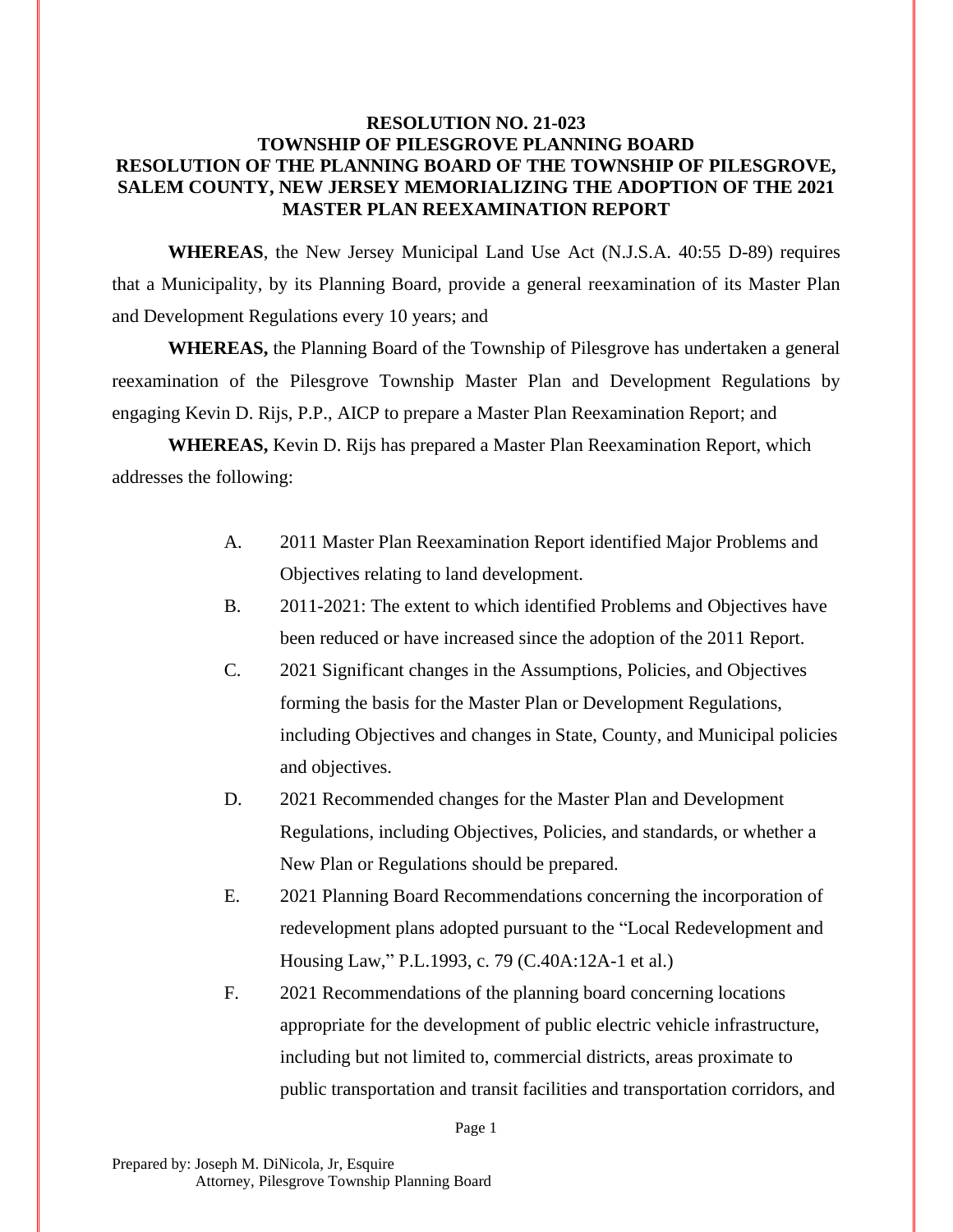## **RESOLUTION NO. 21-023 TOWNSHIP OF PILESGROVE PLANNING BOARD RESOLUTION OF THE PLANNING BOARD OF THE TOWNSHIP OF PILESGROVE, SALEM COUNTY, NEW JERSEY MEMORIALIZING THE ADOPTION OF THE 2021 MASTER PLAN REEXAMINATION REPORT**

**WHEREAS**, the New Jersey Municipal Land Use Act (N.J.S.A. 40:55 D-89) requires that a Municipality, by its Planning Board, provide a general reexamination of its Master Plan and Development Regulations every 10 years; and

**WHEREAS,** the Planning Board of the Township of Pilesgrove has undertaken a general reexamination of the Pilesgrove Township Master Plan and Development Regulations by engaging Kevin D. Rijs, P.P., AICP to prepare a Master Plan Reexamination Report; and

**WHEREAS,** Kevin D. Rijs has prepared a Master Plan Reexamination Report, which addresses the following:

- A. 2011 Master Plan Reexamination Report identified Major Problems and Objectives relating to land development.
- B. 2011-2021: The extent to which identified Problems and Objectives have been reduced or have increased since the adoption of the 2011 Report.
- C. 2021 Significant changes in the Assumptions, Policies, and Objectives forming the basis for the Master Plan or Development Regulations, including Objectives and changes in State, County, and Municipal policies and objectives.
- D. 2021 Recommended changes for the Master Plan and Development Regulations, including Objectives, Policies, and standards, or whether a New Plan or Regulations should be prepared.
- E. 2021 Planning Board Recommendations concerning the incorporation of redevelopment plans adopted pursuant to the "Local Redevelopment and Housing Law," P.L.1993, c. 79 (C.40A:12A-1 et al.)
- F. 2021 Recommendations of the planning board concerning locations appropriate for the development of public electric vehicle infrastructure, including but not limited to, commercial districts, areas proximate to public transportation and transit facilities and transportation corridors, and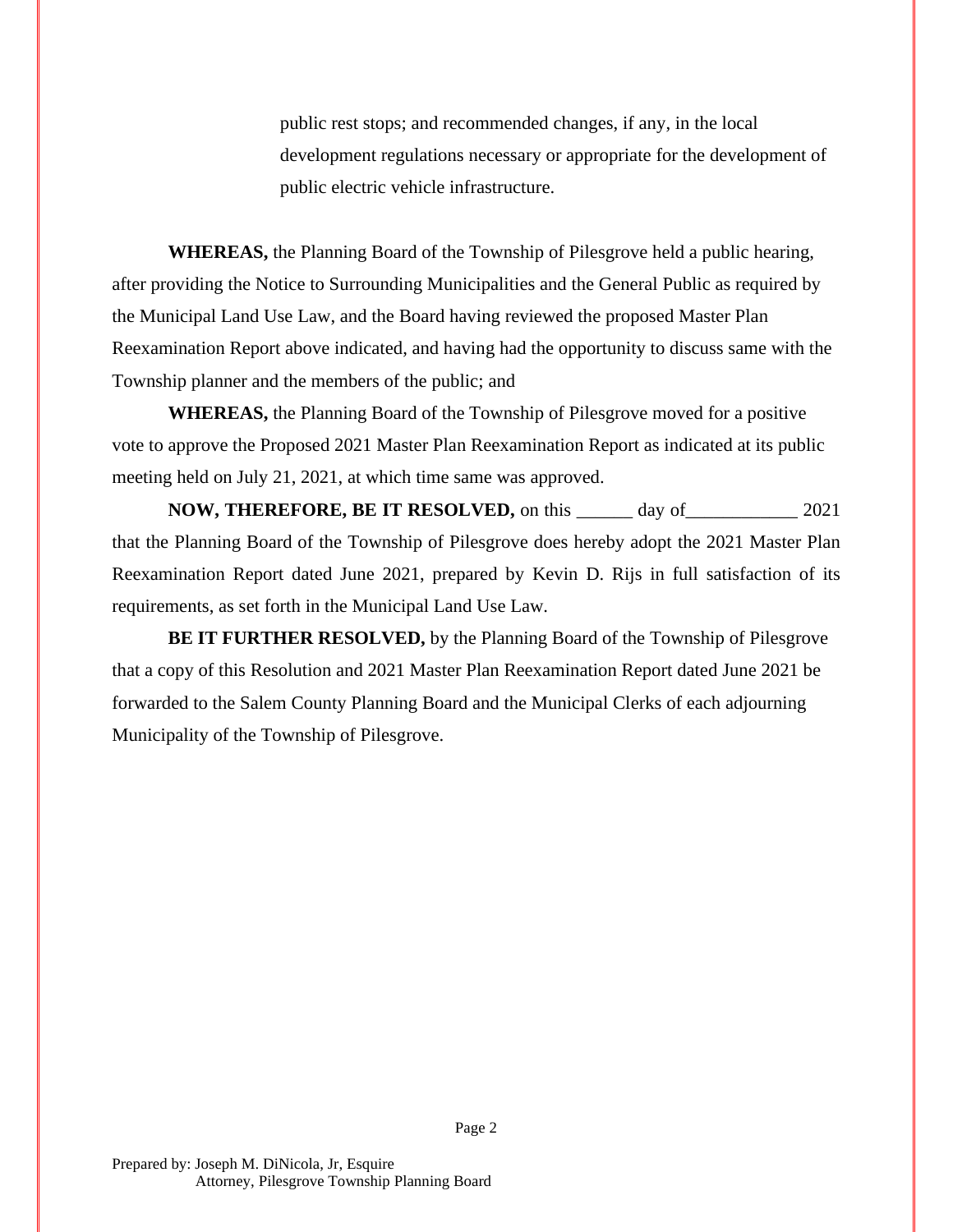public rest stops; and recommended changes, if any, in the local development regulations necessary or appropriate for the development of public electric vehicle infrastructure.

**WHEREAS,** the Planning Board of the Township of Pilesgrove held a public hearing, after providing the Notice to Surrounding Municipalities and the General Public as required by the Municipal Land Use Law, and the Board having reviewed the proposed Master Plan Reexamination Report above indicated, and having had the opportunity to discuss same with the Township planner and the members of the public; and

**WHEREAS,** the Planning Board of the Township of Pilesgrove moved for a positive vote to approve the Proposed 2021 Master Plan Reexamination Report as indicated at its public meeting held on July 21, 2021, at which time same was approved.

**NOW, THEREFORE, BE IT RESOLVED,** on this \_\_\_\_\_\_ day of\_\_\_\_\_\_\_\_\_\_\_\_ 2021 that the Planning Board of the Township of Pilesgrove does hereby adopt the 2021 Master Plan Reexamination Report dated June 2021, prepared by Kevin D. Rijs in full satisfaction of its requirements, as set forth in the Municipal Land Use Law.

**BE IT FURTHER RESOLVED,** by the Planning Board of the Township of Pilesgrove that a copy of this Resolution and 2021 Master Plan Reexamination Report dated June 2021 be forwarded to the Salem County Planning Board and the Municipal Clerks of each adjourning Municipality of the Township of Pilesgrove.